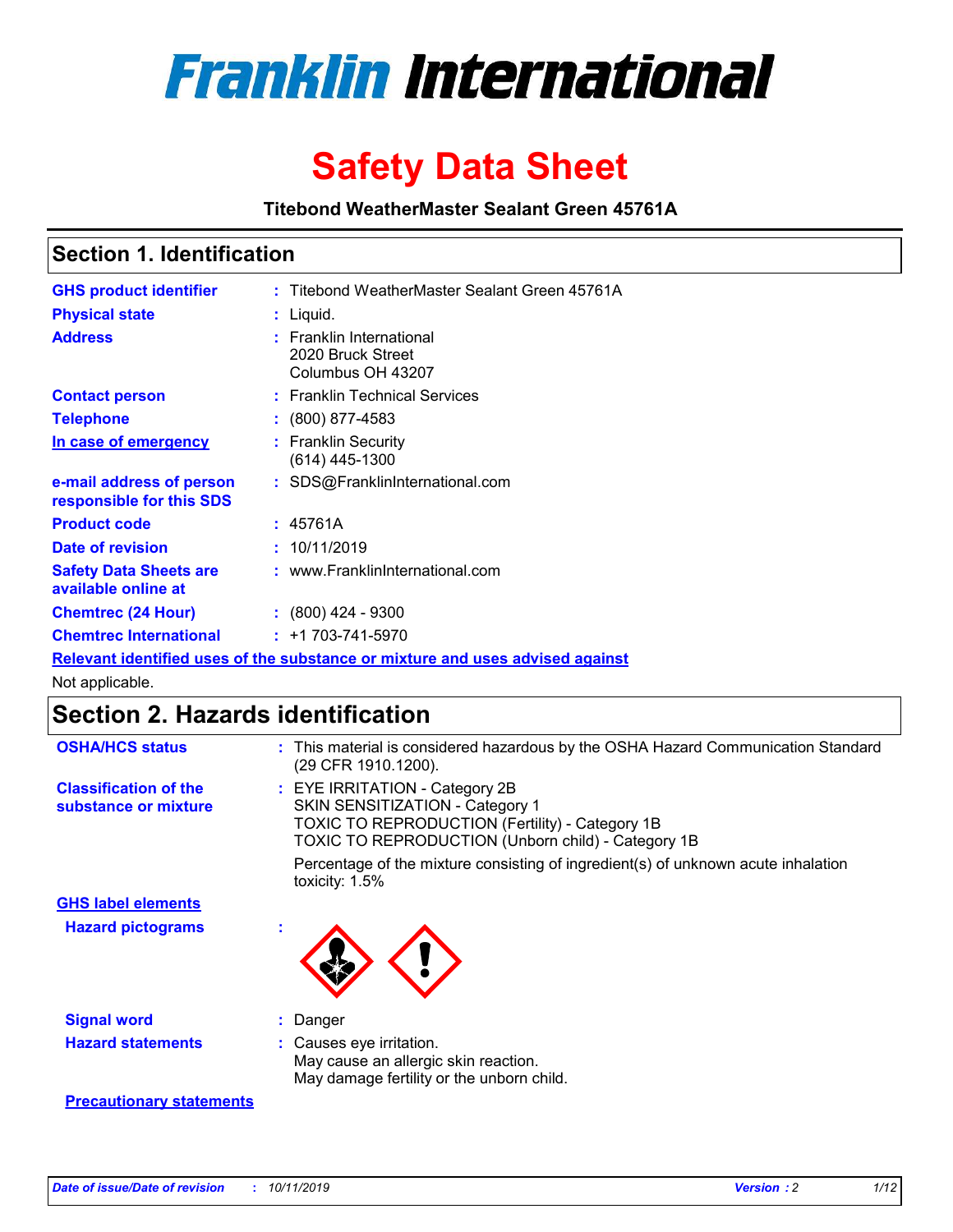

# **Safety Data Sheet**

**Titebond WeatherMaster Sealant Green 45761A**

### **Section 1. Identification**

| <b>GHS product identifier</b>                        | : Titebond WeatherMaster Sealant Green 45761A                                 |
|------------------------------------------------------|-------------------------------------------------------------------------------|
| <b>Physical state</b>                                | : Liquid.                                                                     |
| <b>Address</b>                                       | : Franklin International<br>2020 Bruck Street<br>Columbus OH 43207            |
| <b>Contact person</b>                                | : Franklin Technical Services                                                 |
| <b>Telephone</b>                                     | $\colon$ (800) 877-4583                                                       |
| In case of emergency                                 | : Franklin Security<br>(614) 445-1300                                         |
| e-mail address of person<br>responsible for this SDS | : SDS@FranklinInternational.com                                               |
| <b>Product code</b>                                  | : 45761A                                                                      |
| Date of revision                                     | : 10/11/2019                                                                  |
| <b>Safety Data Sheets are</b><br>available online at | : www.FranklinInternational.com                                               |
| <b>Chemtrec (24 Hour)</b>                            | $\div$ (800) 424 - 9300                                                       |
| <b>Chemtrec International</b>                        | $: +1703 - 741 - 5970$                                                        |
|                                                      | Relevant identified uses of the substance or mixture and uses advised against |

Not applicable.

## **Section 2. Hazards identification**

| <b>OSHA/HCS status</b>                               | : This material is considered hazardous by the OSHA Hazard Communication Standard<br>(29 CFR 1910.1200).                                                                                 |
|------------------------------------------------------|------------------------------------------------------------------------------------------------------------------------------------------------------------------------------------------|
| <b>Classification of the</b><br>substance or mixture | : EYE IRRITATION - Category 2B<br>SKIN SENSITIZATION - Category 1<br><b>TOXIC TO REPRODUCTION (Fertility) - Category 1B</b><br><b>TOXIC TO REPRODUCTION (Unborn child) - Category 1B</b> |
|                                                      | Percentage of the mixture consisting of ingredient(s) of unknown acute inhalation<br>toxicity: $1.5\%$                                                                                   |
| <b>GHS label elements</b>                            |                                                                                                                                                                                          |
| <b>Hazard pictograms</b>                             |                                                                                                                                                                                          |
| <b>Signal word</b>                                   | : Danger                                                                                                                                                                                 |
| <b>Hazard statements</b>                             | : Causes eye irritation.<br>May cause an allergic skin reaction.<br>May damage fertility or the unborn child.                                                                            |
| <b>Precautionary statements</b>                      |                                                                                                                                                                                          |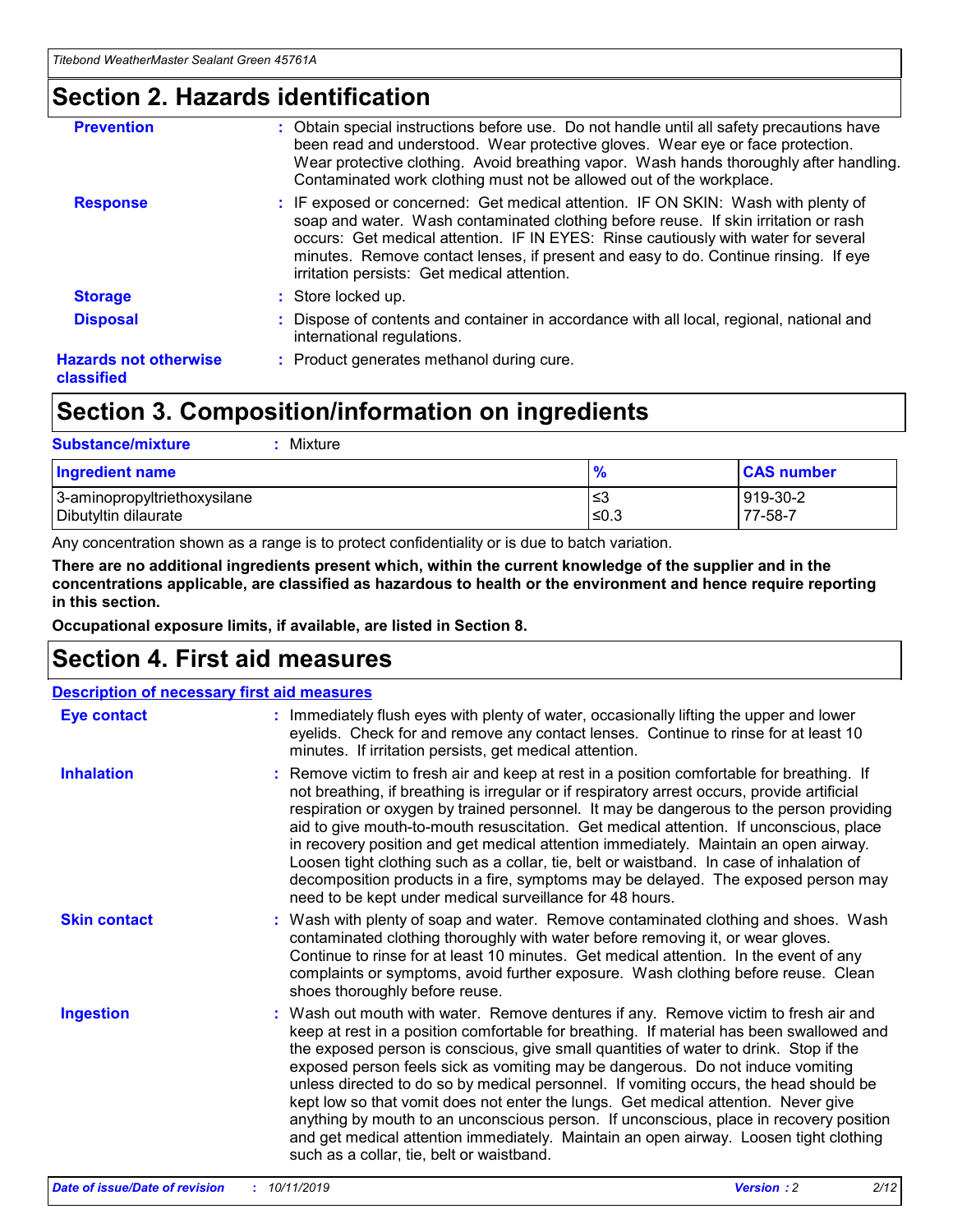### **Section 2. Hazards identification**

| <b>Prevention</b>                          | : Obtain special instructions before use. Do not handle until all safety precautions have<br>been read and understood. Wear protective gloves. Wear eye or face protection.<br>Wear protective clothing. Avoid breathing vapor. Wash hands thoroughly after handling.<br>Contaminated work clothing must not be allowed out of the workplace.                                                        |
|--------------------------------------------|------------------------------------------------------------------------------------------------------------------------------------------------------------------------------------------------------------------------------------------------------------------------------------------------------------------------------------------------------------------------------------------------------|
| <b>Response</b>                            | : IF exposed or concerned: Get medical attention. IF ON SKIN: Wash with plenty of<br>soap and water. Wash contaminated clothing before reuse. If skin irritation or rash<br>occurs: Get medical attention. IF IN EYES: Rinse cautiously with water for several<br>minutes. Remove contact lenses, if present and easy to do. Continue rinsing. If eye<br>irritation persists: Get medical attention. |
| <b>Storage</b>                             | : Store locked up.                                                                                                                                                                                                                                                                                                                                                                                   |
| <b>Disposal</b>                            | : Dispose of contents and container in accordance with all local, regional, national and<br>international regulations.                                                                                                                                                                                                                                                                               |
| <b>Hazards not otherwise</b><br>classified | : Product generates methanol during cure.                                                                                                                                                                                                                                                                                                                                                            |
|                                            |                                                                                                                                                                                                                                                                                                                                                                                                      |

### **Section 3. Composition/information on ingredients**

| <b>Substance/mixture</b><br>: Mixture                |               |                     |
|------------------------------------------------------|---------------|---------------------|
| Ingredient name                                      | $\frac{9}{6}$ | <b>CAS number</b>   |
| 3-aminopropyltriethoxysilane<br>Dibutyltin dilaurate | צ≥<br>≤0.3    | 919-30-2<br>77-58-7 |

Any concentration shown as a range is to protect confidentiality or is due to batch variation.

**There are no additional ingredients present which, within the current knowledge of the supplier and in the concentrations applicable, are classified as hazardous to health or the environment and hence require reporting in this section.**

**Occupational exposure limits, if available, are listed in Section 8.**

### **Section 4. First aid measures**

| <b>Description of necessary first aid measures</b> |                                                                                                                                                                                                                                                                                                                                                                                                                                                                                                                                                                                                                                                                                                                                                                           |  |  |  |
|----------------------------------------------------|---------------------------------------------------------------------------------------------------------------------------------------------------------------------------------------------------------------------------------------------------------------------------------------------------------------------------------------------------------------------------------------------------------------------------------------------------------------------------------------------------------------------------------------------------------------------------------------------------------------------------------------------------------------------------------------------------------------------------------------------------------------------------|--|--|--|
| <b>Eye contact</b>                                 | : Immediately flush eyes with plenty of water, occasionally lifting the upper and lower<br>eyelids. Check for and remove any contact lenses. Continue to rinse for at least 10<br>minutes. If irritation persists, get medical attention.                                                                                                                                                                                                                                                                                                                                                                                                                                                                                                                                 |  |  |  |
| <b>Inhalation</b>                                  | : Remove victim to fresh air and keep at rest in a position comfortable for breathing. If<br>not breathing, if breathing is irregular or if respiratory arrest occurs, provide artificial<br>respiration or oxygen by trained personnel. It may be dangerous to the person providing<br>aid to give mouth-to-mouth resuscitation. Get medical attention. If unconscious, place<br>in recovery position and get medical attention immediately. Maintain an open airway.<br>Loosen tight clothing such as a collar, tie, belt or waistband. In case of inhalation of<br>decomposition products in a fire, symptoms may be delayed. The exposed person may<br>need to be kept under medical surveillance for 48 hours.                                                       |  |  |  |
| <b>Skin contact</b>                                | : Wash with plenty of soap and water. Remove contaminated clothing and shoes. Wash<br>contaminated clothing thoroughly with water before removing it, or wear gloves.<br>Continue to rinse for at least 10 minutes. Get medical attention. In the event of any<br>complaints or symptoms, avoid further exposure. Wash clothing before reuse. Clean<br>shoes thoroughly before reuse.                                                                                                                                                                                                                                                                                                                                                                                     |  |  |  |
| <b>Ingestion</b>                                   | : Wash out mouth with water. Remove dentures if any. Remove victim to fresh air and<br>keep at rest in a position comfortable for breathing. If material has been swallowed and<br>the exposed person is conscious, give small quantities of water to drink. Stop if the<br>exposed person feels sick as vomiting may be dangerous. Do not induce vomiting<br>unless directed to do so by medical personnel. If vomiting occurs, the head should be<br>kept low so that vomit does not enter the lungs. Get medical attention. Never give<br>anything by mouth to an unconscious person. If unconscious, place in recovery position<br>and get medical attention immediately. Maintain an open airway. Loosen tight clothing<br>such as a collar, tie, belt or waistband. |  |  |  |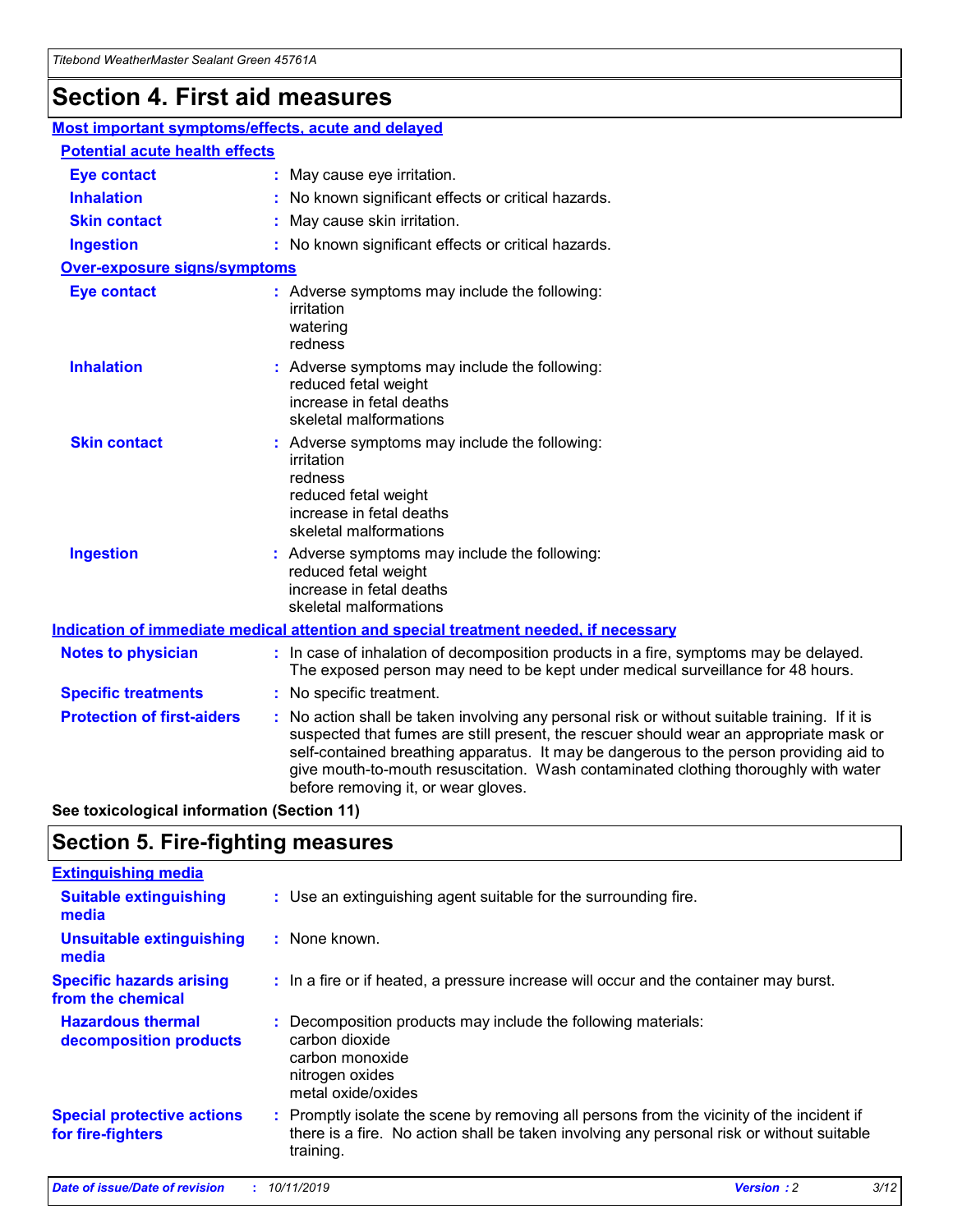## **Section 4. First aid measures**

| Most important symptoms/effects, acute and delayed |  |                                                                                                                                                                                                                                                                                                                                                                                                                 |  |  |
|----------------------------------------------------|--|-----------------------------------------------------------------------------------------------------------------------------------------------------------------------------------------------------------------------------------------------------------------------------------------------------------------------------------------------------------------------------------------------------------------|--|--|
| <b>Potential acute health effects</b>              |  |                                                                                                                                                                                                                                                                                                                                                                                                                 |  |  |
| <b>Eye contact</b>                                 |  | : May cause eye irritation.                                                                                                                                                                                                                                                                                                                                                                                     |  |  |
| <b>Inhalation</b>                                  |  | : No known significant effects or critical hazards.                                                                                                                                                                                                                                                                                                                                                             |  |  |
| <b>Skin contact</b>                                |  | : May cause skin irritation.                                                                                                                                                                                                                                                                                                                                                                                    |  |  |
| <b>Ingestion</b>                                   |  | : No known significant effects or critical hazards.                                                                                                                                                                                                                                                                                                                                                             |  |  |
| Over-exposure signs/symptoms                       |  |                                                                                                                                                                                                                                                                                                                                                                                                                 |  |  |
| <b>Eye contact</b>                                 |  | : Adverse symptoms may include the following:<br>irritation<br>watering<br>redness                                                                                                                                                                                                                                                                                                                              |  |  |
| <b>Inhalation</b>                                  |  | : Adverse symptoms may include the following:<br>reduced fetal weight<br>increase in fetal deaths<br>skeletal malformations                                                                                                                                                                                                                                                                                     |  |  |
| <b>Skin contact</b>                                |  | : Adverse symptoms may include the following:<br>irritation<br>redness<br>reduced fetal weight<br>increase in fetal deaths<br>skeletal malformations                                                                                                                                                                                                                                                            |  |  |
| <b>Ingestion</b>                                   |  | : Adverse symptoms may include the following:<br>reduced fetal weight<br>increase in fetal deaths<br>skeletal malformations                                                                                                                                                                                                                                                                                     |  |  |
|                                                    |  | <b>Indication of immediate medical attention and special treatment needed, if necessary</b>                                                                                                                                                                                                                                                                                                                     |  |  |
| <b>Notes to physician</b>                          |  | : In case of inhalation of decomposition products in a fire, symptoms may be delayed.<br>The exposed person may need to be kept under medical surveillance for 48 hours.                                                                                                                                                                                                                                        |  |  |
| <b>Specific treatments</b>                         |  | : No specific treatment.                                                                                                                                                                                                                                                                                                                                                                                        |  |  |
| <b>Protection of first-aiders</b>                  |  | : No action shall be taken involving any personal risk or without suitable training. If it is<br>suspected that fumes are still present, the rescuer should wear an appropriate mask or<br>self-contained breathing apparatus. It may be dangerous to the person providing aid to<br>give mouth-to-mouth resuscitation. Wash contaminated clothing thoroughly with water<br>before removing it, or wear gloves. |  |  |

**See toxicological information (Section 11)**

### **Section 5. Fire-fighting measures**

| <b>Extinguishing media</b>                             |                                                                                                                                                                                                     |
|--------------------------------------------------------|-----------------------------------------------------------------------------------------------------------------------------------------------------------------------------------------------------|
| <b>Suitable extinguishing</b><br>media                 | : Use an extinguishing agent suitable for the surrounding fire.                                                                                                                                     |
| <b>Unsuitable extinguishing</b><br>media               | : None known.                                                                                                                                                                                       |
| <b>Specific hazards arising</b><br>from the chemical   | : In a fire or if heated, a pressure increase will occur and the container may burst.                                                                                                               |
| <b>Hazardous thermal</b><br>decomposition products     | : Decomposition products may include the following materials:<br>carbon dioxide<br>carbon monoxide<br>nitrogen oxides<br>metal oxide/oxides                                                         |
| <b>Special protective actions</b><br>for fire-fighters | : Promptly isolate the scene by removing all persons from the vicinity of the incident if<br>there is a fire. No action shall be taken involving any personal risk or without suitable<br>training. |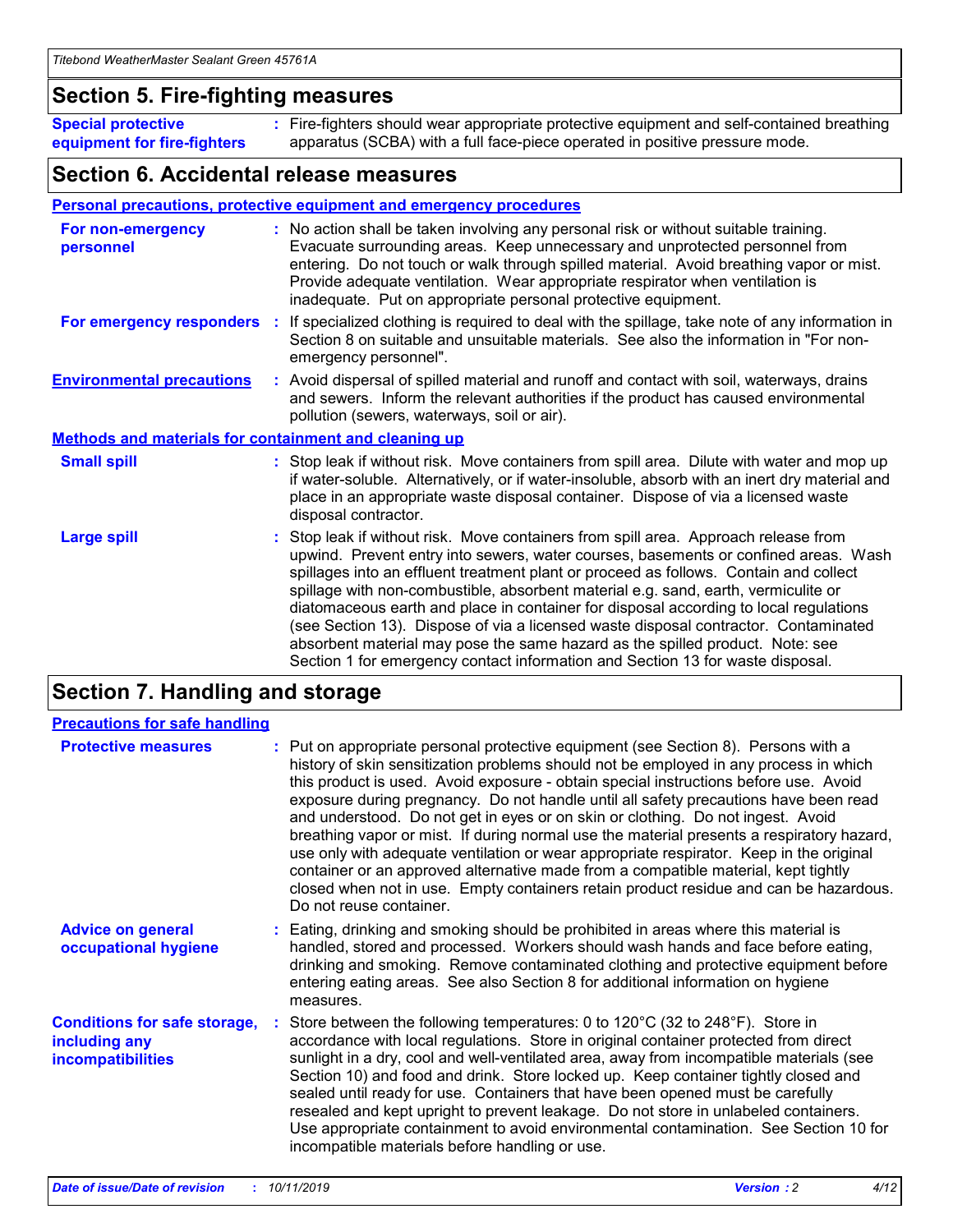### **Section 5. Fire-fighting measures**

**Special protective equipment for fire-fighters** Fire-fighters should wear appropriate protective equipment and self-contained breathing **:** apparatus (SCBA) with a full face-piece operated in positive pressure mode.

### **Section 6. Accidental release measures**

#### **Personal precautions, protective equipment and emergency procedures**

| For non-emergency<br>personnel                               | : No action shall be taken involving any personal risk or without suitable training.<br>Evacuate surrounding areas. Keep unnecessary and unprotected personnel from<br>entering. Do not touch or walk through spilled material. Avoid breathing vapor or mist.<br>Provide adequate ventilation. Wear appropriate respirator when ventilation is<br>inadequate. Put on appropriate personal protective equipment.                                                                                                                                                                                                                                                                                             |
|--------------------------------------------------------------|--------------------------------------------------------------------------------------------------------------------------------------------------------------------------------------------------------------------------------------------------------------------------------------------------------------------------------------------------------------------------------------------------------------------------------------------------------------------------------------------------------------------------------------------------------------------------------------------------------------------------------------------------------------------------------------------------------------|
|                                                              | For emergency responders : If specialized clothing is required to deal with the spillage, take note of any information in<br>Section 8 on suitable and unsuitable materials. See also the information in "For non-<br>emergency personnel".                                                                                                                                                                                                                                                                                                                                                                                                                                                                  |
| <b>Environmental precautions</b>                             | : Avoid dispersal of spilled material and runoff and contact with soil, waterways, drains<br>and sewers. Inform the relevant authorities if the product has caused environmental<br>pollution (sewers, waterways, soil or air).                                                                                                                                                                                                                                                                                                                                                                                                                                                                              |
| <b>Methods and materials for containment and cleaning up</b> |                                                                                                                                                                                                                                                                                                                                                                                                                                                                                                                                                                                                                                                                                                              |
| <b>Small spill</b>                                           | : Stop leak if without risk. Move containers from spill area. Dilute with water and mop up<br>if water-soluble. Alternatively, or if water-insoluble, absorb with an inert dry material and<br>place in an appropriate waste disposal container. Dispose of via a licensed waste<br>disposal contractor.                                                                                                                                                                                                                                                                                                                                                                                                     |
| <b>Large spill</b>                                           | : Stop leak if without risk. Move containers from spill area. Approach release from<br>upwind. Prevent entry into sewers, water courses, basements or confined areas. Wash<br>spillages into an effluent treatment plant or proceed as follows. Contain and collect<br>spillage with non-combustible, absorbent material e.g. sand, earth, vermiculite or<br>diatomaceous earth and place in container for disposal according to local regulations<br>(see Section 13). Dispose of via a licensed waste disposal contractor. Contaminated<br>absorbent material may pose the same hazard as the spilled product. Note: see<br>Section 1 for emergency contact information and Section 13 for waste disposal. |

### **Section 7. Handling and storage**

| <b>Precautions for safe handling</b>                                             |                                                                                                                                                                                                                                                                                                                                                                                                                                                                                                                                                                                                                                                                                                                                                                                                                                                  |
|----------------------------------------------------------------------------------|--------------------------------------------------------------------------------------------------------------------------------------------------------------------------------------------------------------------------------------------------------------------------------------------------------------------------------------------------------------------------------------------------------------------------------------------------------------------------------------------------------------------------------------------------------------------------------------------------------------------------------------------------------------------------------------------------------------------------------------------------------------------------------------------------------------------------------------------------|
| <b>Protective measures</b>                                                       | : Put on appropriate personal protective equipment (see Section 8). Persons with a<br>history of skin sensitization problems should not be employed in any process in which<br>this product is used. Avoid exposure - obtain special instructions before use. Avoid<br>exposure during pregnancy. Do not handle until all safety precautions have been read<br>and understood. Do not get in eyes or on skin or clothing. Do not ingest. Avoid<br>breathing vapor or mist. If during normal use the material presents a respiratory hazard,<br>use only with adequate ventilation or wear appropriate respirator. Keep in the original<br>container or an approved alternative made from a compatible material, kept tightly<br>closed when not in use. Empty containers retain product residue and can be hazardous.<br>Do not reuse container. |
| <b>Advice on general</b><br>occupational hygiene                                 | : Eating, drinking and smoking should be prohibited in areas where this material is<br>handled, stored and processed. Workers should wash hands and face before eating,<br>drinking and smoking. Remove contaminated clothing and protective equipment before<br>entering eating areas. See also Section 8 for additional information on hygiene<br>measures.                                                                                                                                                                                                                                                                                                                                                                                                                                                                                    |
| <b>Conditions for safe storage,</b><br>including any<br><b>incompatibilities</b> | : Store between the following temperatures: 0 to 120 $\degree$ C (32 to 248 $\degree$ F). Store in<br>accordance with local regulations. Store in original container protected from direct<br>sunlight in a dry, cool and well-ventilated area, away from incompatible materials (see<br>Section 10) and food and drink. Store locked up. Keep container tightly closed and<br>sealed until ready for use. Containers that have been opened must be carefully<br>resealed and kept upright to prevent leakage. Do not store in unlabeled containers.<br>Use appropriate containment to avoid environmental contamination. See Section 10 for<br>incompatible materials before handling or use.                                                                                                                                                   |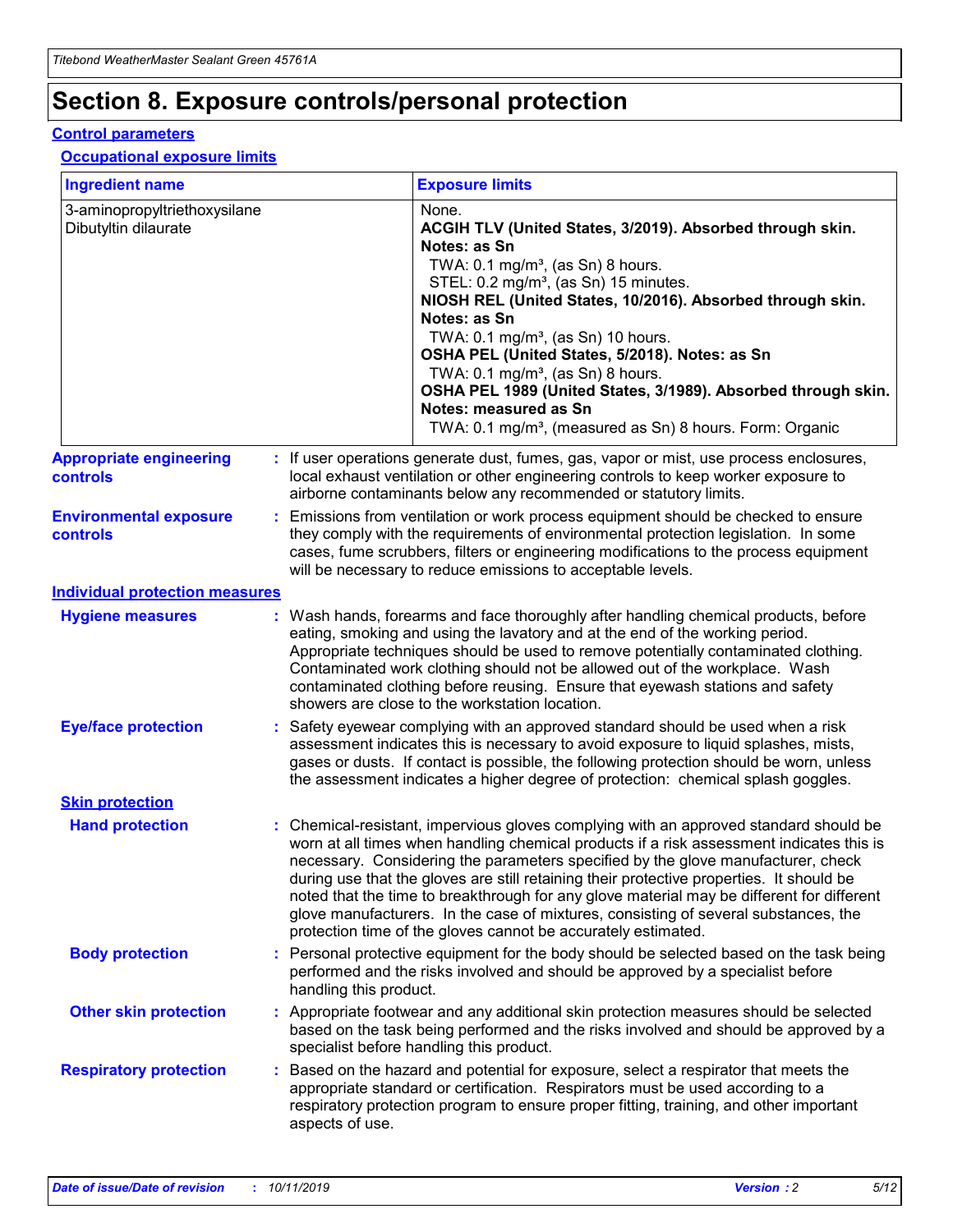## **Section 8. Exposure controls/personal protection**

#### **Control parameters**

#### **Occupational exposure limits**

| <b>Ingredient name</b>                               |    |                                          | <b>Exposure limits</b>                                                                                                                                                                                                                                                                                                                                                                                                                                                                                                                                                                                                 |
|------------------------------------------------------|----|------------------------------------------|------------------------------------------------------------------------------------------------------------------------------------------------------------------------------------------------------------------------------------------------------------------------------------------------------------------------------------------------------------------------------------------------------------------------------------------------------------------------------------------------------------------------------------------------------------------------------------------------------------------------|
| 3-aminopropyltriethoxysilane<br>Dibutyltin dilaurate |    |                                          | None.<br>ACGIH TLV (United States, 3/2019). Absorbed through skin.<br>Notes: as Sn<br>TWA: 0.1 mg/m <sup>3</sup> , (as Sn) 8 hours.<br>STEL: 0.2 mg/m <sup>3</sup> , (as Sn) 15 minutes.<br>NIOSH REL (United States, 10/2016). Absorbed through skin.<br>Notes: as Sn<br>TWA: 0.1 mg/m <sup>3</sup> , (as Sn) 10 hours.<br>OSHA PEL (United States, 5/2018). Notes: as Sn<br>TWA: $0.1 \text{ mg/m}^3$ , (as Sn) 8 hours.<br>OSHA PEL 1989 (United States, 3/1989). Absorbed through skin.<br>Notes: measured as Sn<br>TWA: 0.1 mg/m <sup>3</sup> , (measured as Sn) 8 hours. Form: Organic                           |
| <b>Appropriate engineering</b><br>controls           |    |                                          | : If user operations generate dust, fumes, gas, vapor or mist, use process enclosures,<br>local exhaust ventilation or other engineering controls to keep worker exposure to<br>airborne contaminants below any recommended or statutory limits.                                                                                                                                                                                                                                                                                                                                                                       |
| <b>Environmental exposure</b><br><b>controls</b>     |    |                                          | Emissions from ventilation or work process equipment should be checked to ensure<br>they comply with the requirements of environmental protection legislation. In some<br>cases, fume scrubbers, filters or engineering modifications to the process equipment<br>will be necessary to reduce emissions to acceptable levels.                                                                                                                                                                                                                                                                                          |
| <b>Individual protection measures</b>                |    |                                          |                                                                                                                                                                                                                                                                                                                                                                                                                                                                                                                                                                                                                        |
| <b>Hygiene measures</b>                              |    |                                          | : Wash hands, forearms and face thoroughly after handling chemical products, before<br>eating, smoking and using the lavatory and at the end of the working period.<br>Appropriate techniques should be used to remove potentially contaminated clothing.<br>Contaminated work clothing should not be allowed out of the workplace. Wash<br>contaminated clothing before reusing. Ensure that eyewash stations and safety<br>showers are close to the workstation location.                                                                                                                                            |
| <b>Eye/face protection</b>                           |    |                                          | : Safety eyewear complying with an approved standard should be used when a risk<br>assessment indicates this is necessary to avoid exposure to liquid splashes, mists,<br>gases or dusts. If contact is possible, the following protection should be worn, unless<br>the assessment indicates a higher degree of protection: chemical splash goggles.                                                                                                                                                                                                                                                                  |
| <b>Skin protection</b>                               |    |                                          |                                                                                                                                                                                                                                                                                                                                                                                                                                                                                                                                                                                                                        |
| <b>Hand protection</b>                               |    |                                          | : Chemical-resistant, impervious gloves complying with an approved standard should be<br>worn at all times when handling chemical products if a risk assessment indicates this is<br>necessary. Considering the parameters specified by the glove manufacturer, check<br>during use that the gloves are still retaining their protective properties. It should be<br>noted that the time to breakthrough for any glove material may be different for different<br>glove manufacturers. In the case of mixtures, consisting of several substances, the<br>protection time of the gloves cannot be accurately estimated. |
| <b>Body protection</b>                               |    | handling this product.                   | Personal protective equipment for the body should be selected based on the task being<br>performed and the risks involved and should be approved by a specialist before                                                                                                                                                                                                                                                                                                                                                                                                                                                |
| <b>Other skin protection</b>                         |    | specialist before handling this product. | : Appropriate footwear and any additional skin protection measures should be selected<br>based on the task being performed and the risks involved and should be approved by a                                                                                                                                                                                                                                                                                                                                                                                                                                          |
| <b>Respiratory protection</b>                        | ÷. | aspects of use.                          | Based on the hazard and potential for exposure, select a respirator that meets the<br>appropriate standard or certification. Respirators must be used according to a<br>respiratory protection program to ensure proper fitting, training, and other important                                                                                                                                                                                                                                                                                                                                                         |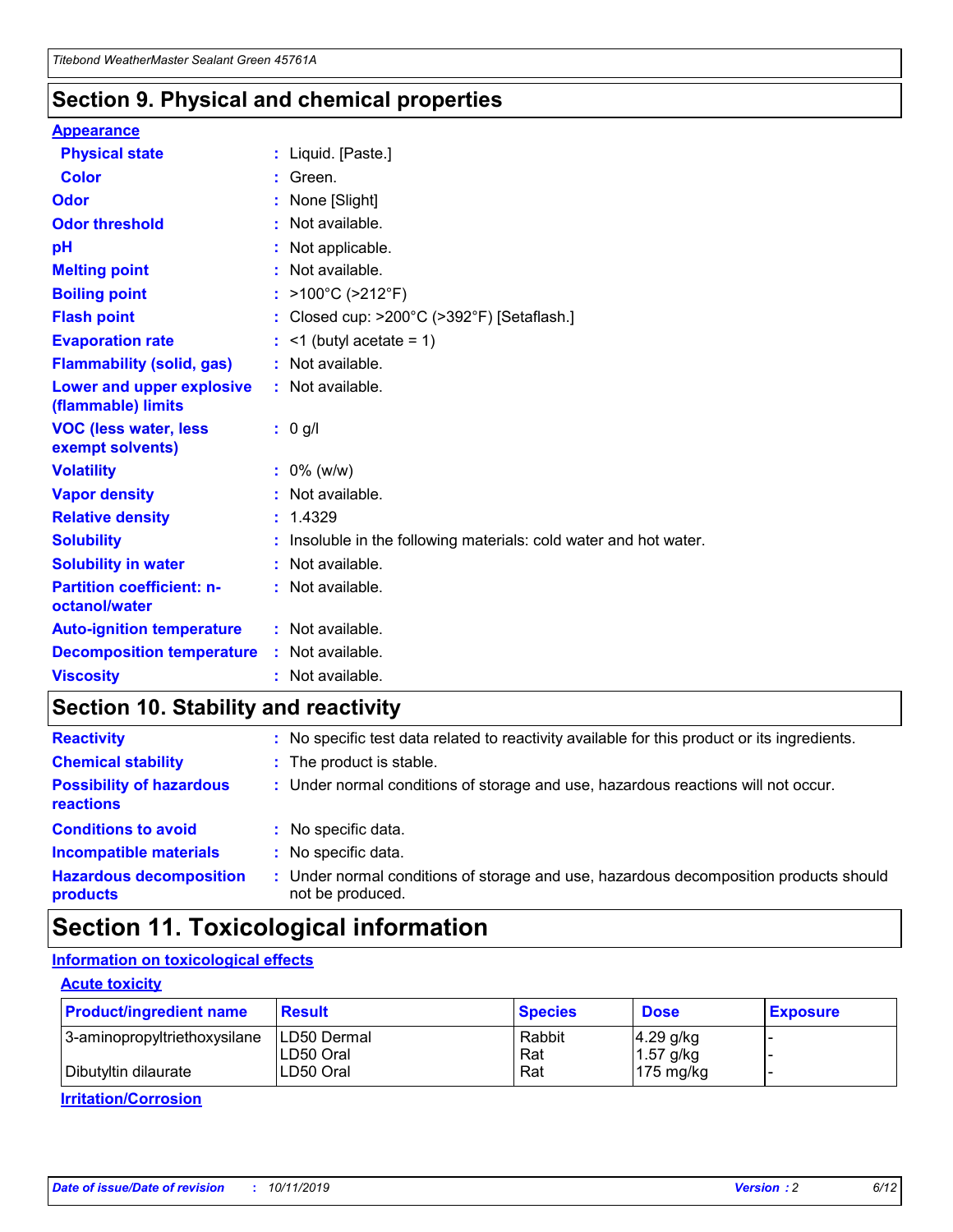### **Section 9. Physical and chemical properties**

#### **Appearance**

| <b>Physical state</b>                             | : Liquid. [Paste.]                                              |
|---------------------------------------------------|-----------------------------------------------------------------|
| Color                                             | Green.                                                          |
| Odor                                              | : None [Slight]                                                 |
| <b>Odor threshold</b>                             | : Not available.                                                |
| рH                                                | : Not applicable.                                               |
| <b>Melting point</b>                              | : Not available.                                                |
| <b>Boiling point</b>                              | : >100°C (>212°F)                                               |
| <b>Flash point</b>                                | : Closed cup: $>200^{\circ}$ C ( $>392^{\circ}$ F) [Setaflash.] |
| <b>Evaporation rate</b>                           | $:$ <1 (butyl acetate = 1)                                      |
| <b>Flammability (solid, gas)</b>                  | : Not available.                                                |
| Lower and upper explosive<br>(flammable) limits   | : Not available.                                                |
| <b>VOC (less water, less</b><br>exempt solvents)  | : 0 g/l                                                         |
| <b>Volatility</b>                                 | $: 0\%$ (w/w)                                                   |
| <b>Vapor density</b>                              | : Not available.                                                |
| <b>Relative density</b>                           | : 1.4329                                                        |
| <b>Solubility</b>                                 | Insoluble in the following materials: cold water and hot water. |
| <b>Solubility in water</b>                        | : Not available.                                                |
| <b>Partition coefficient: n-</b><br>octanol/water | $:$ Not available.                                              |
| <b>Auto-ignition temperature</b>                  | : Not available.                                                |
| <b>Decomposition temperature</b>                  | : Not available.                                                |
|                                                   |                                                                 |

### **Section 10. Stability and reactivity**

| <b>Reactivity</b>                            |    | : No specific test data related to reactivity available for this product or its ingredients.            |
|----------------------------------------------|----|---------------------------------------------------------------------------------------------------------|
| <b>Chemical stability</b>                    |    | : The product is stable.                                                                                |
| <b>Possibility of hazardous</b><br>reactions |    | : Under normal conditions of storage and use, hazardous reactions will not occur.                       |
| <b>Conditions to avoid</b>                   |    | : No specific data.                                                                                     |
| <b>Incompatible materials</b>                | ٠. | No specific data.                                                                                       |
| <b>Hazardous decomposition</b><br>products   | ÷. | Under normal conditions of storage and use, hazardous decomposition products should<br>not be produced. |

### **Section 11. Toxicological information**

### **Information on toxicological effects**

#### **Acute toxicity**

| <b>Product/ingredient name</b> | <b>Result</b>           | <b>Species</b> | <b>Dose</b>                | <b>Exposure</b> |
|--------------------------------|-------------------------|----------------|----------------------------|-----------------|
| 3-aminopropyltriethoxysilane   | <b>ILD50 Dermal</b>     | Rabbit         | 4.29 g/kg                  |                 |
| Dibutyltin dilaurate           | ILD50 Oral<br>LD50 Oral | Rat<br>Rat     | $1.57$ g/kg<br>175 $mg/kg$ |                 |
|                                |                         |                |                            |                 |

**Irritation/Corrosion**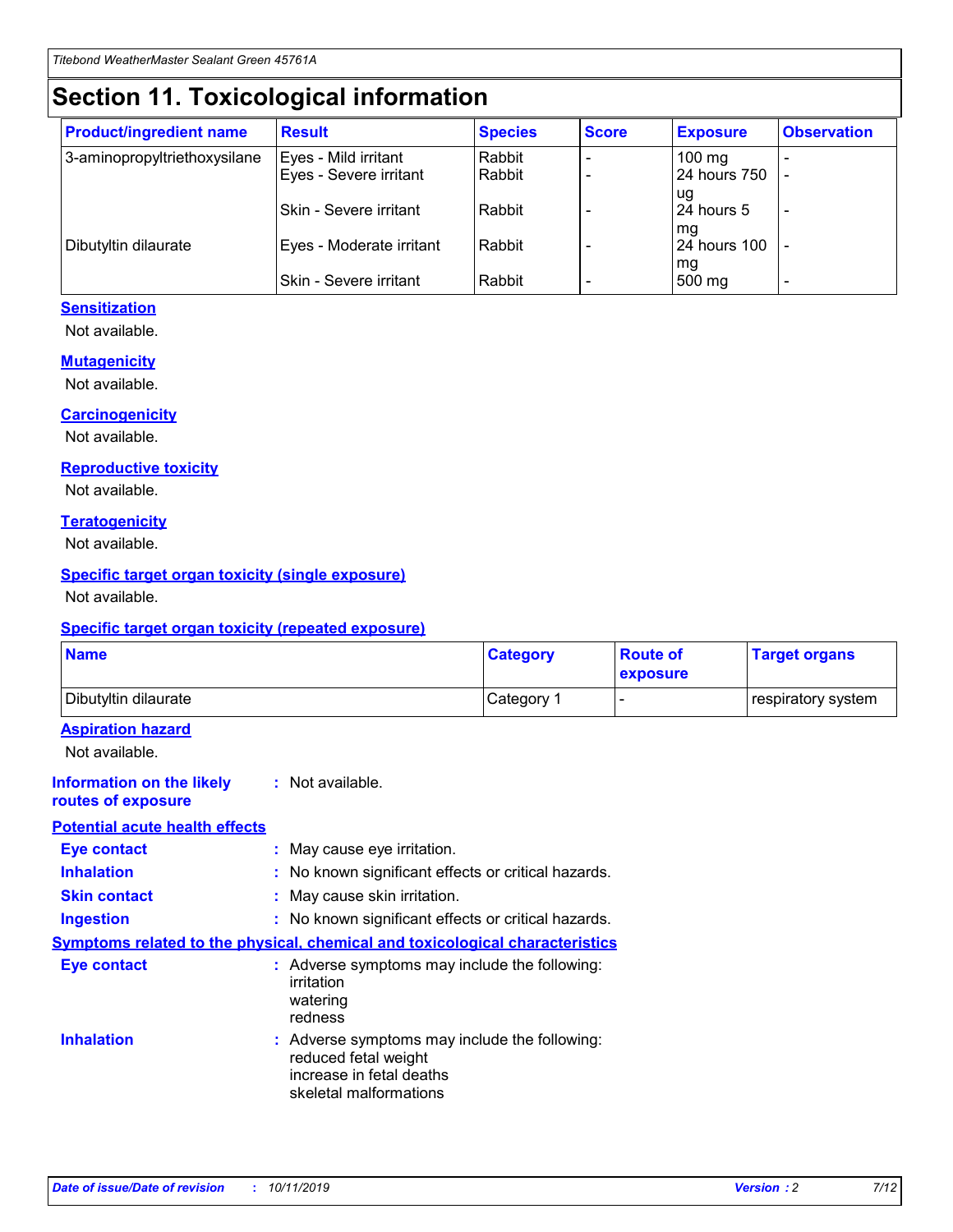## **Section 11. Toxicological information**

| <b>Product/ingredient name</b> | <b>Result</b>            | <b>Species</b> | <b>Score</b> | <b>Exposure</b>     | <b>Observation</b> |
|--------------------------------|--------------------------|----------------|--------------|---------------------|--------------------|
| 3-aminopropyltriethoxysilane   | Eyes - Mild irritant     | Rabbit         |              | $100 \text{ mg}$    |                    |
|                                | Eyes - Severe irritant   | Rabbit         |              | 24 hours 750        |                    |
|                                |                          |                |              | ug                  |                    |
|                                | Skin - Severe irritant   | Rabbit         |              | 24 hours 5          |                    |
|                                |                          |                |              | mq                  |                    |
| Dibutyltin dilaurate           | Eyes - Moderate irritant | Rabbit         |              | <b>24 hours 100</b> |                    |
|                                | Skin - Severe irritant   | Rabbit         |              | mg<br>500 mg        |                    |
|                                |                          |                |              |                     |                    |

#### **Sensitization**

Not available.

#### **Mutagenicity**

Not available.

#### **Carcinogenicity**

Not available.

#### **Reproductive toxicity**

Not available.

#### **Teratogenicity**

Not available.

#### **Specific target organ toxicity (single exposure)**

Not available.

#### **Specific target organ toxicity (repeated exposure)**

| <b>Name</b>                                                                  |                                                                                                                             | <b>Category</b> | <b>Route of</b><br>exposure  | <b>Target organs</b> |
|------------------------------------------------------------------------------|-----------------------------------------------------------------------------------------------------------------------------|-----------------|------------------------------|----------------------|
| Dibutyltin dilaurate                                                         |                                                                                                                             | Category 1      | $\qquad \qquad \blacksquare$ | respiratory system   |
| <b>Aspiration hazard</b><br>Not available.                                   |                                                                                                                             |                 |                              |                      |
| <b>Information on the likely</b><br>routes of exposure                       | : Not available.                                                                                                            |                 |                              |                      |
| <b>Potential acute health effects</b>                                        |                                                                                                                             |                 |                              |                      |
| <b>Eye contact</b>                                                           | : May cause eye irritation.                                                                                                 |                 |                              |                      |
| <b>Inhalation</b>                                                            | : No known significant effects or critical hazards.                                                                         |                 |                              |                      |
| <b>Skin contact</b>                                                          | : May cause skin irritation.                                                                                                |                 |                              |                      |
| <b>Ingestion</b>                                                             | : No known significant effects or critical hazards.                                                                         |                 |                              |                      |
| Symptoms related to the physical, chemical and toxicological characteristics |                                                                                                                             |                 |                              |                      |
| <b>Eye contact</b>                                                           | : Adverse symptoms may include the following:<br>irritation<br>watering<br>redness                                          |                 |                              |                      |
| <b>Inhalation</b>                                                            | : Adverse symptoms may include the following:<br>reduced fetal weight<br>increase in fetal deaths<br>skeletal malformations |                 |                              |                      |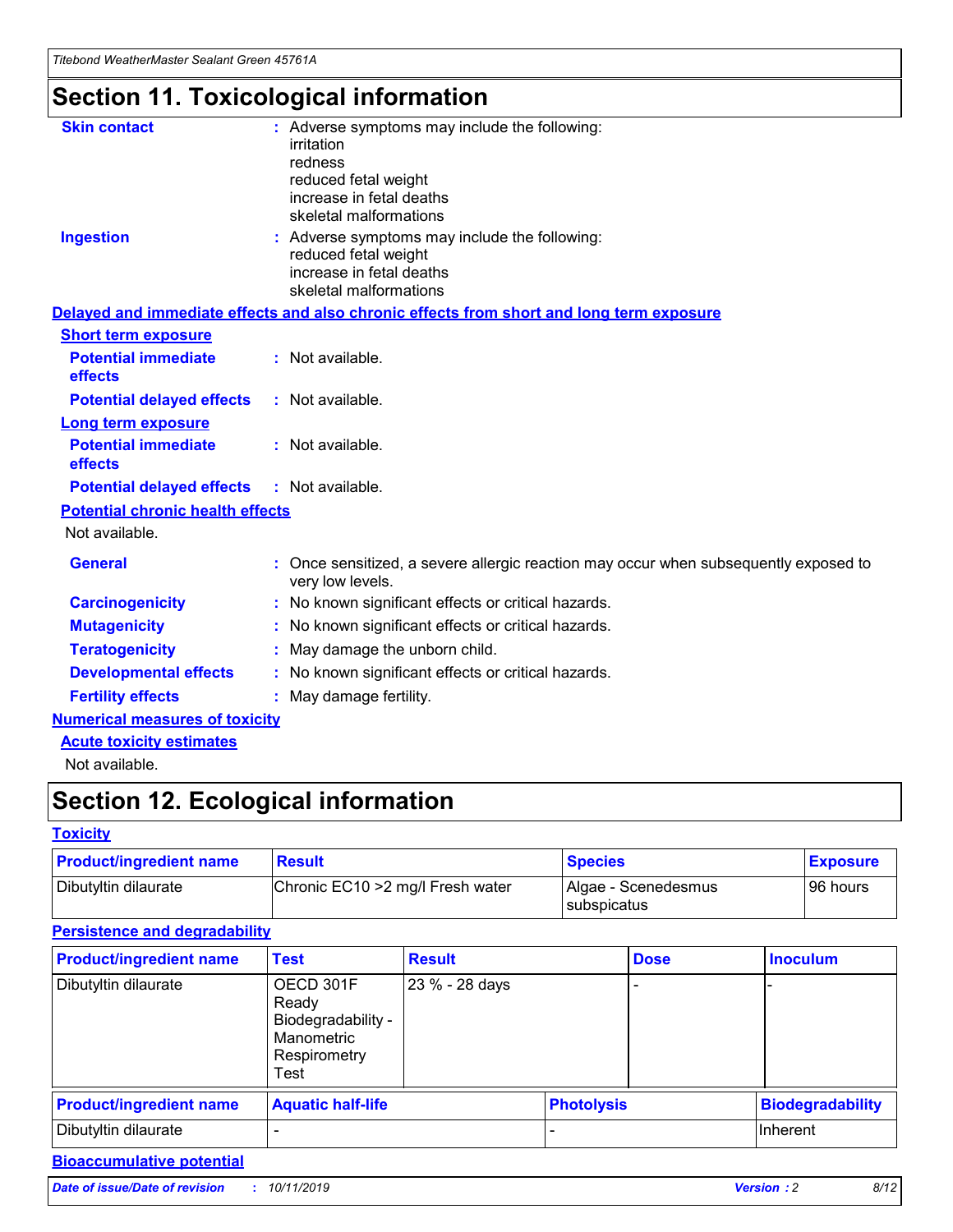## **Section 11. Toxicological information**

| <b>Skin contact</b>                     | : Adverse symptoms may include the following:<br>irritation<br>redness<br>reduced fetal weight<br>increase in fetal deaths<br>skeletal malformations |
|-----------------------------------------|------------------------------------------------------------------------------------------------------------------------------------------------------|
| <b>Ingestion</b>                        | : Adverse symptoms may include the following:<br>reduced fetal weight<br>increase in fetal deaths<br>skeletal malformations                          |
|                                         | Delayed and immediate effects and also chronic effects from short and long term exposure                                                             |
| <b>Short term exposure</b>              |                                                                                                                                                      |
| <b>Potential immediate</b><br>effects   | : Not available.                                                                                                                                     |
| <b>Potential delayed effects</b>        | : Not available.                                                                                                                                     |
| <b>Long term exposure</b>               |                                                                                                                                                      |
| <b>Potential immediate</b><br>effects   | : Not available.                                                                                                                                     |
| <b>Potential delayed effects</b>        | : Not available.                                                                                                                                     |
| <b>Potential chronic health effects</b> |                                                                                                                                                      |
| Not available.                          |                                                                                                                                                      |
| <b>General</b>                          | : Once sensitized, a severe allergic reaction may occur when subsequently exposed to<br>very low levels.                                             |
| <b>Carcinogenicity</b>                  | : No known significant effects or critical hazards.                                                                                                  |
| <b>Mutagenicity</b>                     | No known significant effects or critical hazards.                                                                                                    |
| <b>Teratogenicity</b>                   | May damage the unborn child.                                                                                                                         |
| <b>Developmental effects</b>            | No known significant effects or critical hazards.                                                                                                    |
| <b>Fertility effects</b>                | : May damage fertility.                                                                                                                              |
| <b>Numerical measures of toxicity</b>   |                                                                                                                                                      |
| <b>Acute toxicity estimates</b>         |                                                                                                                                                      |
|                                         |                                                                                                                                                      |

Not available.

## **Section 12. Ecological information**

#### **Toxicity**

| <b>Product/ingredient name</b> | <b>Result</b>                     | <b>Species</b>                       | <b>Exposure</b> |
|--------------------------------|-----------------------------------|--------------------------------------|-----------------|
| Dibutyltin dilaurate           | Chronic EC10 > 2 mg/l Fresh water | Algae - Scenedesmus<br>I subspicatus | l 96 hours      |

### **Persistence and degradability**

| <b>Product/ingredient name</b> | <b>Test</b>                                                                    | <b>Result</b>  |                   | <b>Dose</b> | <b>Inoculum</b>         |
|--------------------------------|--------------------------------------------------------------------------------|----------------|-------------------|-------------|-------------------------|
| Dibutyltin dilaurate           | OECD 301F<br>Ready<br>Biodegradability -<br>Manometric<br>Respirometry<br>Test | 23 % - 28 days |                   |             |                         |
| <b>Product/ingredient name</b> | <b>Aquatic half-life</b>                                                       |                | <b>Photolysis</b> |             | <b>Biodegradability</b> |
| Dibutyltin dilaurate           |                                                                                |                |                   |             | Inherent                |

### **Bioaccumulative potential**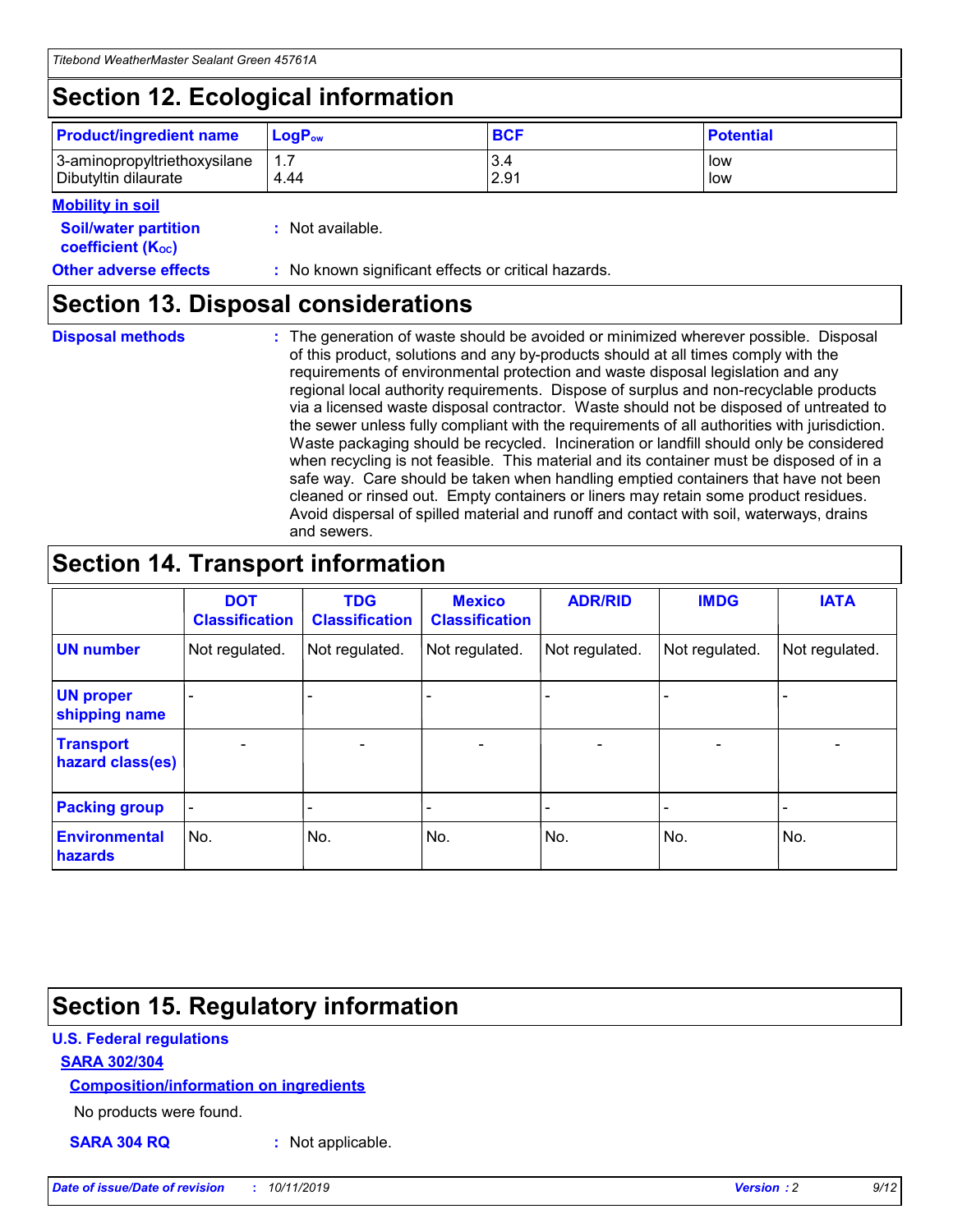## **Section 12. Ecological information**

| <b>Product/ingredient name</b> | $LoaPow$ | <b>BCF</b> | <b>Potential</b> |
|--------------------------------|----------|------------|------------------|
| 3-aminopropyltriethoxysilane   | 1.7      | 3.4        | low              |
| Dibutyltin dilaurate           | 4.44     | 2.91       | low              |

#### **Mobility in soil**

| <b>Soil/water partition</b><br>coefficient (K <sub>oc</sub> ) | : Not available.                                    |
|---------------------------------------------------------------|-----------------------------------------------------|
| <b>Other adverse effects</b>                                  | : No known significant effects or critical hazards. |

### **Section 13. Disposal considerations**

**Disposal methods :**

The generation of waste should be avoided or minimized wherever possible. Disposal of this product, solutions and any by-products should at all times comply with the requirements of environmental protection and waste disposal legislation and any regional local authority requirements. Dispose of surplus and non-recyclable products via a licensed waste disposal contractor. Waste should not be disposed of untreated to the sewer unless fully compliant with the requirements of all authorities with jurisdiction. Waste packaging should be recycled. Incineration or landfill should only be considered when recycling is not feasible. This material and its container must be disposed of in a safe way. Care should be taken when handling emptied containers that have not been cleaned or rinsed out. Empty containers or liners may retain some product residues. Avoid dispersal of spilled material and runoff and contact with soil, waterways, drains and sewers.

## **Section 14. Transport information**

|                                      | <b>DOT</b><br><b>Classification</b> | <b>TDG</b><br><b>Classification</b> | <b>Mexico</b><br><b>Classification</b> | <b>ADR/RID</b>           | <b>IMDG</b>              | <b>IATA</b>              |
|--------------------------------------|-------------------------------------|-------------------------------------|----------------------------------------|--------------------------|--------------------------|--------------------------|
| <b>UN number</b>                     | Not regulated.                      | Not regulated.                      | Not regulated.                         | Not regulated.           | Not regulated.           | Not regulated.           |
| <b>UN proper</b><br>shipping name    | $\qquad \qquad \blacksquare$        |                                     |                                        |                          |                          |                          |
| <b>Transport</b><br>hazard class(es) | $\overline{\phantom{m}}$            | $\overline{\phantom{0}}$            | $\qquad \qquad$                        | $\overline{\phantom{a}}$ | $\overline{\phantom{0}}$ | $\overline{\phantom{0}}$ |
| <b>Packing group</b>                 | $\overline{\phantom{a}}$            | -                                   |                                        |                          |                          |                          |
| <b>Environmental</b><br>hazards      | No.                                 | No.                                 | No.                                    | No.                      | No.                      | No.                      |

## **Section 15. Regulatory information**

#### **U.S. Federal regulations**

#### **SARA 302/304**

#### **Composition/information on ingredients**

No products were found.

**SARA 304 RQ :** Not applicable.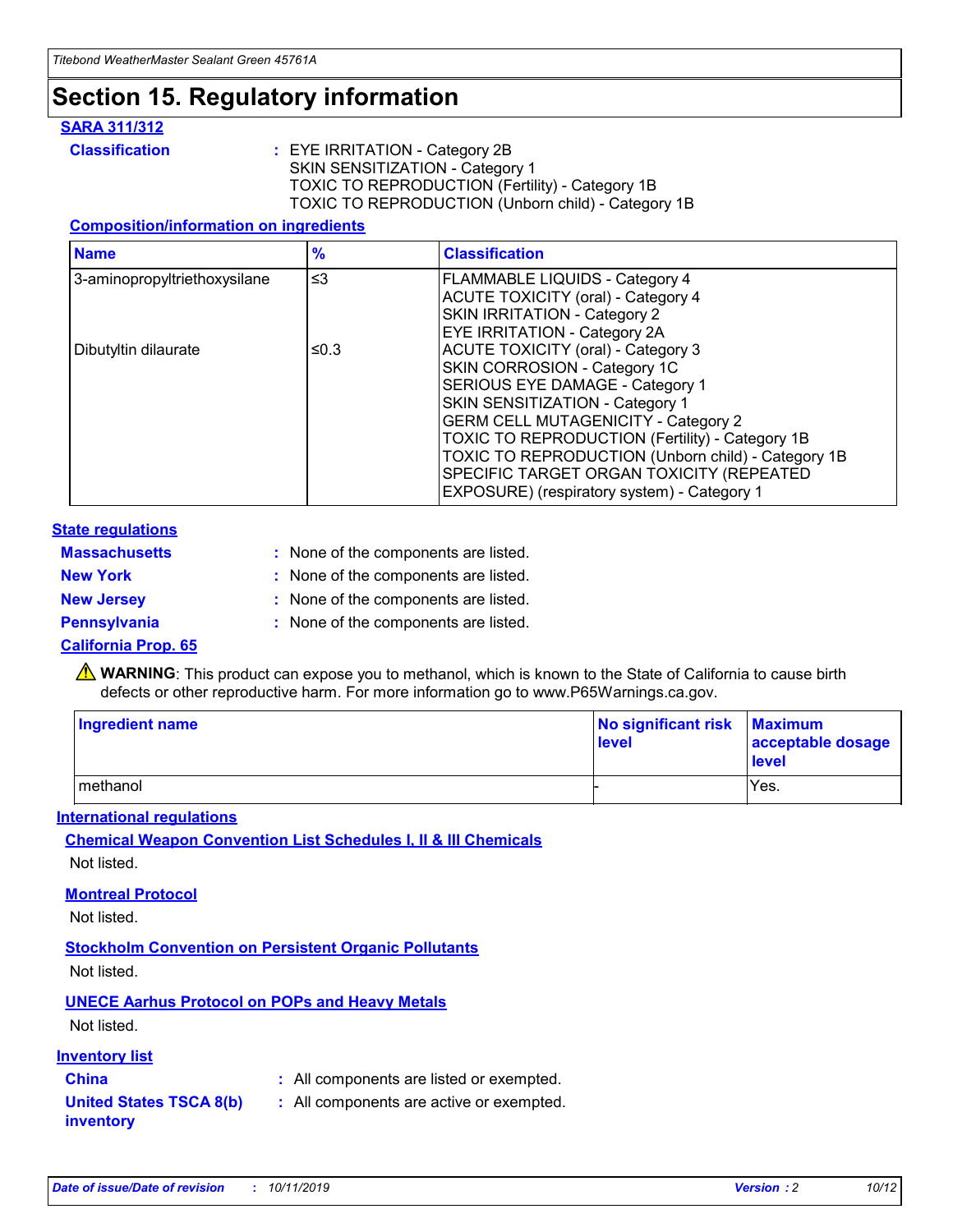### **Section 15. Regulatory information**

#### **SARA 311/312**

**Classification :** EYE IRRITATION - Category 2B SKIN SENSITIZATION - Category 1 TOXIC TO REPRODUCTION (Fertility) - Category 1B TOXIC TO REPRODUCTION (Unborn child) - Category 1B

#### **Composition/information on ingredients**

| <b>Name</b>                  | $\frac{9}{6}$ | <b>Classification</b>                                                                                            |
|------------------------------|---------------|------------------------------------------------------------------------------------------------------------------|
| 3-aminopropyltriethoxysilane | $\leq$ 3      | <b>FLAMMABLE LIQUIDS - Category 4</b><br><b>ACUTE TOXICITY (oral) - Category 4</b>                               |
|                              |               | SKIN IRRITATION - Category 2<br>EYE IRRITATION - Category 2A                                                     |
| Dibutyltin dilaurate         | ≤0.3          | ACUTE TOXICITY (oral) - Category 3<br>SKIN CORROSION - Category 1C                                               |
|                              |               | SERIOUS EYE DAMAGE - Category 1<br>SKIN SENSITIZATION - Category 1<br><b>GERM CELL MUTAGENICITY - Category 2</b> |
|                              |               | TOXIC TO REPRODUCTION (Fertility) - Category 1B<br>TOXIC TO REPRODUCTION (Unborn child) - Category 1B            |
|                              |               | SPECIFIC TARGET ORGAN TOXICITY (REPEATED<br>EXPOSURE) (respiratory system) - Category 1                          |

#### **State regulations**

| <b>Massachusetts</b> | : None of the components are listed. |
|----------------------|--------------------------------------|
| <b>New York</b>      | : None of the components are listed. |
| <b>New Jersey</b>    | : None of the components are listed. |
| <b>Pennsylvania</b>  | : None of the components are listed. |

#### **California Prop. 65**

**A** WARNING: This product can expose you to methanol, which is known to the State of California to cause birth defects or other reproductive harm. For more information go to www.P65Warnings.ca.gov.

| <b>Ingredient name</b> | No significant risk Maximum<br>level | acceptable dosage<br>level |
|------------------------|--------------------------------------|----------------------------|
| methanol               |                                      | Yes.                       |

#### **International regulations**

**Chemical Weapon Convention List Schedules I, II & III Chemicals** Not listed.

#### **Montreal Protocol**

Not listed.

#### **Stockholm Convention on Persistent Organic Pollutants**

Not listed.

### **UNECE Aarhus Protocol on POPs and Heavy Metals**

Not listed.

#### **Inventory list**

### **China :** All components are listed or exempted.

**United States TSCA 8(b) inventory :** All components are active or exempted.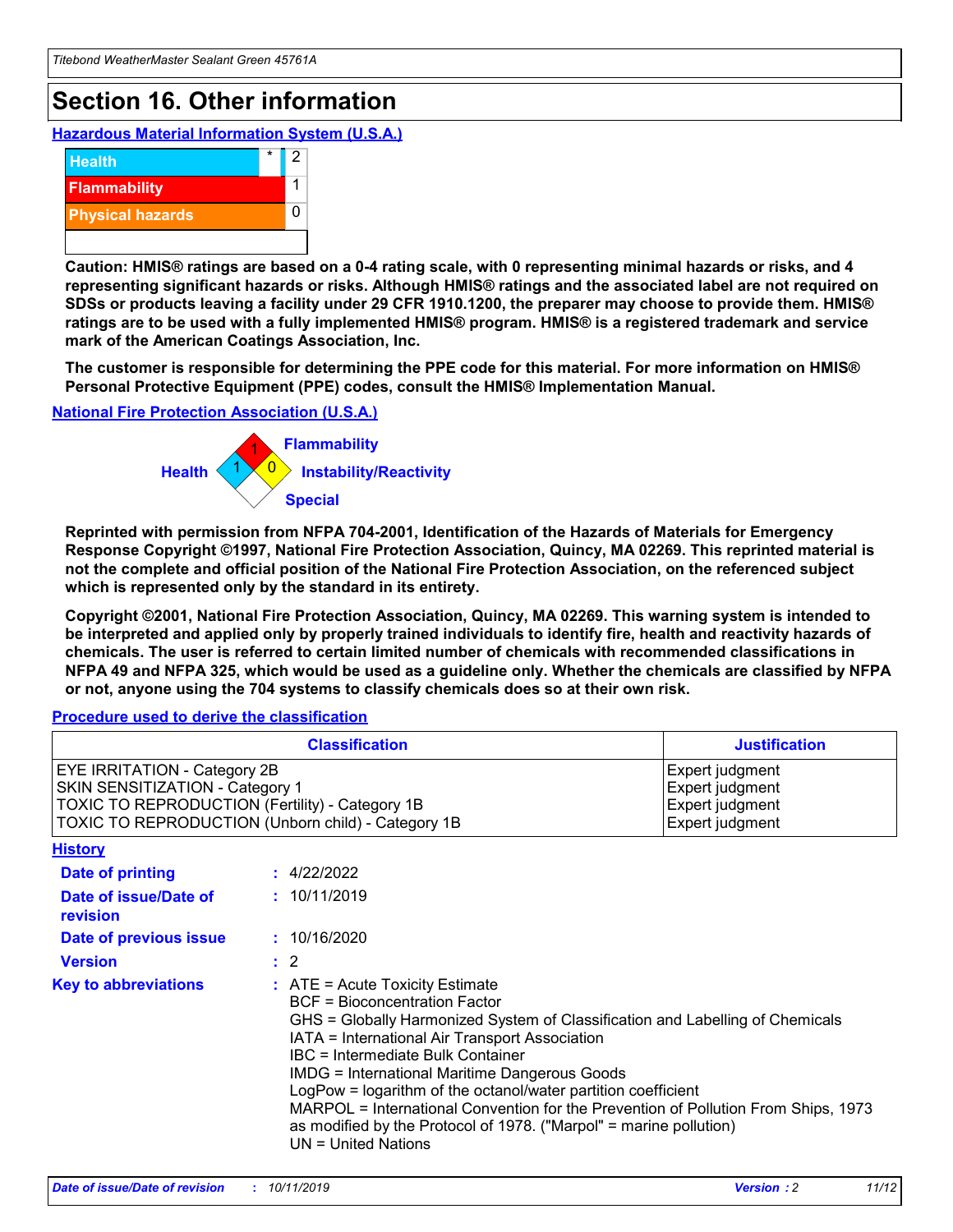## **Section 16. Other information**

**Hazardous Material Information System (U.S.A.)**



**Caution: HMIS® ratings are based on a 0-4 rating scale, with 0 representing minimal hazards or risks, and 4 representing significant hazards or risks. Although HMIS® ratings and the associated label are not required on SDSs or products leaving a facility under 29 CFR 1910.1200, the preparer may choose to provide them. HMIS® ratings are to be used with a fully implemented HMIS® program. HMIS® is a registered trademark and service mark of the American Coatings Association, Inc.**

**The customer is responsible for determining the PPE code for this material. For more information on HMIS® Personal Protective Equipment (PPE) codes, consult the HMIS® Implementation Manual.**

#### **National Fire Protection Association (U.S.A.)**



**Reprinted with permission from NFPA 704-2001, Identification of the Hazards of Materials for Emergency Response Copyright ©1997, National Fire Protection Association, Quincy, MA 02269. This reprinted material is not the complete and official position of the National Fire Protection Association, on the referenced subject which is represented only by the standard in its entirety.**

**Copyright ©2001, National Fire Protection Association, Quincy, MA 02269. This warning system is intended to be interpreted and applied only by properly trained individuals to identify fire, health and reactivity hazards of chemicals. The user is referred to certain limited number of chemicals with recommended classifications in NFPA 49 and NFPA 325, which would be used as a guideline only. Whether the chemicals are classified by NFPA or not, anyone using the 704 systems to classify chemicals does so at their own risk.**

#### **Procedure used to derive the classification**

| <b>Classification</b>                                                                                                                                                    |                                                                                                                                                                                                                                                                                                                                                                                                                                                                                                                                                               | <b>Justification</b>                                                     |
|--------------------------------------------------------------------------------------------------------------------------------------------------------------------------|---------------------------------------------------------------------------------------------------------------------------------------------------------------------------------------------------------------------------------------------------------------------------------------------------------------------------------------------------------------------------------------------------------------------------------------------------------------------------------------------------------------------------------------------------------------|--------------------------------------------------------------------------|
| EYE IRRITATION - Category 2B<br>SKIN SENSITIZATION - Category 1<br>TOXIC TO REPRODUCTION (Fertility) - Category 1B<br>TOXIC TO REPRODUCTION (Unborn child) - Category 1B |                                                                                                                                                                                                                                                                                                                                                                                                                                                                                                                                                               | Expert judgment<br>Expert judgment<br>Expert judgment<br>Expert judgment |
| <b>History</b>                                                                                                                                                           |                                                                                                                                                                                                                                                                                                                                                                                                                                                                                                                                                               |                                                                          |
| <b>Date of printing</b>                                                                                                                                                  | : 4/22/2022                                                                                                                                                                                                                                                                                                                                                                                                                                                                                                                                                   |                                                                          |
| Date of issue/Date of<br>revision                                                                                                                                        | : 10/11/2019                                                                                                                                                                                                                                                                                                                                                                                                                                                                                                                                                  |                                                                          |
| Date of previous issue                                                                                                                                                   | : 10/16/2020                                                                                                                                                                                                                                                                                                                                                                                                                                                                                                                                                  |                                                                          |
| <b>Version</b>                                                                                                                                                           | $\therefore$ 2                                                                                                                                                                                                                                                                                                                                                                                                                                                                                                                                                |                                                                          |
| <b>Key to abbreviations</b>                                                                                                                                              | $:$ ATE = Acute Toxicity Estimate<br><b>BCF</b> = Bioconcentration Factor<br>GHS = Globally Harmonized System of Classification and Labelling of Chemicals<br>IATA = International Air Transport Association<br>IBC = Intermediate Bulk Container<br><b>IMDG = International Maritime Dangerous Goods</b><br>LogPow = logarithm of the octanol/water partition coefficient<br>MARPOL = International Convention for the Prevention of Pollution From Ships, 1973<br>as modified by the Protocol of 1978. ("Marpol" = marine pollution)<br>UN = United Nations |                                                                          |